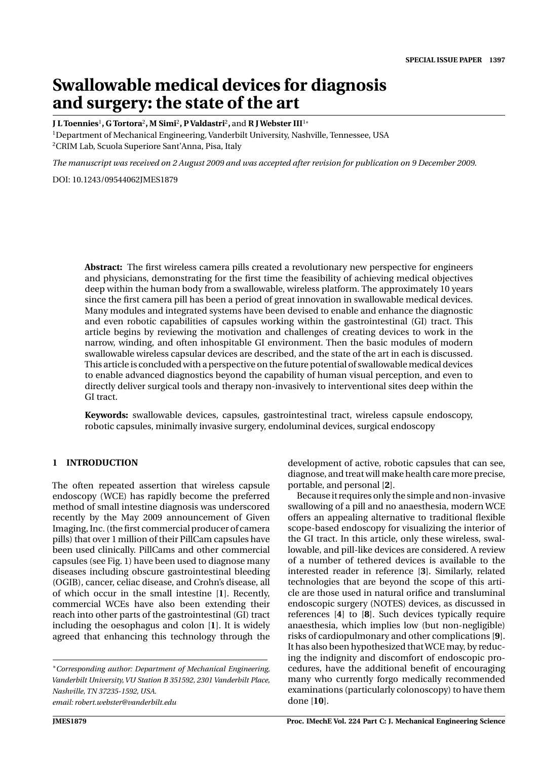# **Swallowable medical devices for diagnosis and surgery: the state of the art**

**J L Toennies**<sup>1</sup>**, G Tortora**<sup>2</sup>**, M Simi**<sup>2</sup>**, P Valdastri**<sup>2</sup>**,** and **R JWebster III**<sup>1</sup><sup>∗</sup>

1Department of Mechanical Engineering, Vanderbilt University, Nashville, Tennessee, USA 2CRIM Lab, Scuola Superiore Sant'Anna, Pisa, Italy

*The manuscript was received on 2 August 2009 and was accepted after revision for publication on 9 December 2009.*

DOI: 10.1243/09544062JMES1879

**Abstract:** The first wireless camera pills created a revolutionary new perspective for engineers and physicians, demonstrating for the first time the feasibility of achieving medical objectives deep within the human body from a swallowable, wireless platform. The approximately 10 years since the first camera pill has been a period of great innovation in swallowable medical devices. Many modules and integrated systems have been devised to enable and enhance the diagnostic and even robotic capabilities of capsules working within the gastrointestinal (GI) tract. This article begins by reviewing the motivation and challenges of creating devices to work in the narrow, winding, and often inhospitable GI environment. Then the basic modules of modern swallowable wireless capsular devices are described, and the state of the art in each is discussed. This article is concluded with a perspective on the future potential of swallowable medical devices to enable advanced diagnostics beyond the capability of human visual perception, and even to directly deliver surgical tools and therapy non-invasively to interventional sites deep within the GI tract.

**Keywords:** swallowable devices, capsules, gastrointestinal tract, wireless capsule endoscopy, robotic capsules, minimally invasive surgery, endoluminal devices, surgical endoscopy

### **1 INTRODUCTION**

The often repeated assertion that wireless capsule endoscopy (WCE) has rapidly become the preferred method of small intestine diagnosis was underscored recently by the May 2009 announcement of Given Imaging, Inc. (the first commercial producer of camera pills) that over 1 million of their PillCam capsules have been used clinically. PillCams and other commercial capsules (see Fig. 1) have been used to diagnose many diseases including obscure gastrointestinal bleeding (OGIB), cancer, celiac disease, and Crohn's disease, all of which occur in the small intestine [**1**]. Recently, commercial WCEs have also been extending their reach into other parts of the gastrointestinal (GI) tract including the oesophagus and colon [**1**]. It is widely agreed that enhancing this technology through the

∗*Corresponding author: Department of Mechanical Engineering, Vanderbilt University, VU Station B 351592, 2301 Vanderbilt Place, Nashville, TN 37235-1592, USA. email: robert.webster@vanderbilt.edu*

development of active, robotic capsules that can see, diagnose, and treat will make health care more precise, portable, and personal [**2**].

Because it requires only the simple and non-invasive swallowing of a pill and no anaesthesia, modern WCE offers an appealing alternative to traditional flexible scope-based endoscopy for visualizing the interior of the GI tract. In this article, only these wireless, swallowable, and pill-like devices are considered. A review of a number of tethered devices is available to the interested reader in reference [**3**]. Similarly, related technologies that are beyond the scope of this article are those used in natural orifice and transluminal endoscopic surgery (NOTES) devices, as discussed in references [**4**] to [**8**]. Such devices typically require anaesthesia, which implies low (but non-negligible) risks of cardiopulmonary and other complications [**9**]. It has also been hypothesized that WCE may, by reducing the indignity and discomfort of endoscopic procedures, have the additional benefit of encouraging many who currently forgo medically recommended examinations (particularly colonoscopy) to have them done [**10**].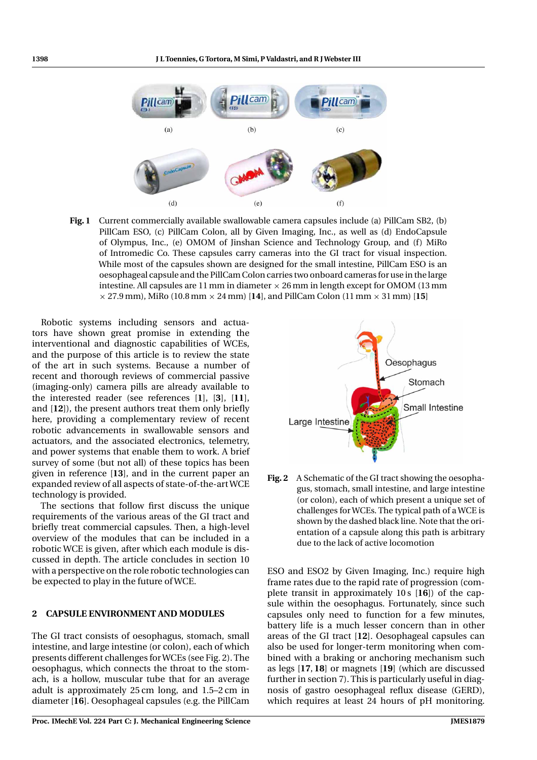

**Fig. 1** Current commercially available swallowable camera capsules include (a) PillCam SB2, (b) PillCam ESO, (c) PillCam Colon, all by Given Imaging, Inc., as well as (d) EndoCapsule of Olympus, Inc., (e) OMOM of Jinshan Science and Technology Group, and (f) MiRo of Intromedic Co. These capsules carry cameras into the GI tract for visual inspection. While most of the capsules shown are designed for the small intestine, PillCam ESO is an oesophageal capsule and the PillCam Colon carries two onboard cameras for use in the large intestine. All capsules are  $11$  mm in diameter  $\times$  26 mm in length except for OMOM (13 mm  $\times$  27.9 mm), MiRo (10.8 mm  $\times$  24 mm) [14], and PillCam Colon (11 mm  $\times$  31 mm) [15]

Robotic systems including sensors and actuators have shown great promise in extending the interventional and diagnostic capabilities of WCEs, and the purpose of this article is to review the state of the art in such systems. Because a number of recent and thorough reviews of commercial passive (imaging-only) camera pills are already available to the interested reader (see references [**1**], [**3**], [**11**], and [**12**]), the present authors treat them only briefly here, providing a complementary review of recent robotic advancements in swallowable sensors and actuators, and the associated electronics, telemetry, and power systems that enable them to work. A brief survey of some (but not all) of these topics has been given in reference [**13**], and in the current paper an expanded review of all aspects of state-of-the-art WCE technology is provided.

The sections that follow first discuss the unique requirements of the various areas of the GI tract and briefly treat commercial capsules. Then, a high-level overview of the modules that can be included in a robotic WCE is given, after which each module is discussed in depth. The article concludes in section 10 with a perspective on the role robotic technologies can be expected to play in the future of WCE.

### **2 CAPSULE ENVIRONMENT AND MODULES**

The GI tract consists of oesophagus, stomach, small intestine, and large intestine (or colon), each of which presents different challenges for WCEs (see Fig. 2). The oesophagus, which connects the throat to the stomach, is a hollow, muscular tube that for an average adult is approximately 25 cm long, and 1.5–2 cm in diameter [**16**]. Oesophageal capsules (e.g. the PillCam



**Fig. 2** A Schematic of the GI tract showing the oesophagus, stomach, small intestine, and large intestine (or colon), each of which present a unique set of challenges for WCEs. The typical path of a WCE is shown by the dashed black line. Note that the orientation of a capsule along this path is arbitrary due to the lack of active locomotion

ESO and ESO2 by Given Imaging, Inc.) require high frame rates due to the rapid rate of progression (complete transit in approximately 10 s [**16**]) of the capsule within the oesophagus. Fortunately, since such capsules only need to function for a few minutes, battery life is a much lesser concern than in other areas of the GI tract [**12**]. Oesophageal capsules can also be used for longer-term monitoring when combined with a braking or anchoring mechanism such as legs [**17**, **18**] or magnets [**19**] (which are discussed further in section 7). This is particularly useful in diagnosis of gastro oesophageal reflux disease (GERD), which requires at least 24 hours of pH monitoring.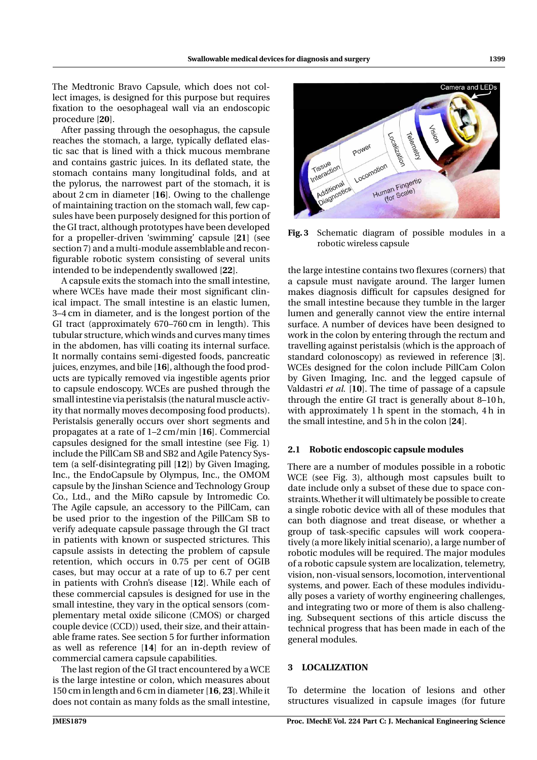The Medtronic Bravo Capsule, which does not collect images, is designed for this purpose but requires fixation to the oesophageal wall via an endoscopic procedure [**20**].

After passing through the oesophagus, the capsule reaches the stomach, a large, typically deflated elastic sac that is lined with a thick mucous membrane and contains gastric juices. In its deflated state, the stomach contains many longitudinal folds, and at the pylorus, the narrowest part of the stomach, it is about 2 cm in diameter [**16**]. Owing to the challenge of maintaining traction on the stomach wall, few capsules have been purposely designed for this portion of the GI tract, although prototypes have been developed for a propeller-driven 'swimming' capsule [**21**] (see section 7) and a multi-module assemblable and reconfigurable robotic system consisting of several units intended to be independently swallowed [**22**].

A capsule exits the stomach into the small intestine, where WCEs have made their most significant clinical impact. The small intestine is an elastic lumen, 3–4 cm in diameter, and is the longest portion of the GI tract (approximately 670–760 cm in length). This tubular structure, which winds and curves many times in the abdomen, has villi coating its internal surface. It normally contains semi-digested foods, pancreatic juices, enzymes, and bile [**16**], although the food products are typically removed via ingestible agents prior to capsule endoscopy. WCEs are pushed through the small intestine via peristalsis (the natural muscle activity that normally moves decomposing food products). Peristalsis generally occurs over short segments and propagates at a rate of 1–2 cm/min [**16**]. Commercial capsules designed for the small intestine (see Fig. 1) include the PillCam SB and SB2 and Agile Patency System (a self-disintegrating pill [**12**]) by Given Imaging, Inc., the EndoCapsule by Olympus, Inc., the OMOM capsule by the Jinshan Science and Technology Group Co., Ltd., and the MiRo capsule by Intromedic Co. The Agile capsule, an accessory to the PillCam, can be used prior to the ingestion of the PillCam SB to verify adequate capsule passage through the GI tract in patients with known or suspected strictures. This capsule assists in detecting the problem of capsule retention, which occurs in 0.75 per cent of OGIB cases, but may occur at a rate of up to 6.7 per cent in patients with Crohn's disease [**12**]. While each of these commercial capsules is designed for use in the small intestine, they vary in the optical sensors (complementary metal oxide silicone (CMOS) or charged couple device (CCD)) used, their size, and their attainable frame rates. See section 5 for further information as well as reference [**14**] for an in-depth review of commercial camera capsule capabilities.

The last region of the GI tract encountered by a WCE is the large intestine or colon, which measures about 150 cm in length and 6 cm in diameter [**16**, **23**]. While it does not contain as many folds as the small intestine,

## **Fig. 3** Schematic diagram of possible modules in a robotic wireless capsule

the large intestine contains two flexures (corners) that a capsule must navigate around. The larger lumen makes diagnosis difficult for capsules designed for the small intestine because they tumble in the larger lumen and generally cannot view the entire internal surface. A number of devices have been designed to work in the colon by entering through the rectum and travelling against peristalsis (which is the approach of standard colonoscopy) as reviewed in reference [**3**]. WCEs designed for the colon include PillCam Colon by Given Imaging, Inc. and the legged capsule of Valdastri *et al.* [**10**]. The time of passage of a capsule through the entire GI tract is generally about 8–10 h, with approximately 1 h spent in the stomach, 4 h in the small intestine, and 5 h in the colon [**24**].

# **2.1 Robotic endoscopic capsule modules**

There are a number of modules possible in a robotic WCE (see Fig. 3), although most capsules built to date include only a subset of these due to space constraints.Whether it will ultimately be possible to create a single robotic device with all of these modules that can both diagnose and treat disease, or whether a group of task-specific capsules will work cooperatively (a more likely initial scenario), a large number of robotic modules will be required. The major modules of a robotic capsule system are localization, telemetry, vision, non-visual sensors, locomotion, interventional systems, and power. Each of these modules individually poses a variety of worthy engineering challenges, and integrating two or more of them is also challenging. Subsequent sections of this article discuss the technical progress that has been made in each of the general modules.

# **3 LOCALIZATION**

To determine the location of lesions and other structures visualized in capsule images (for future

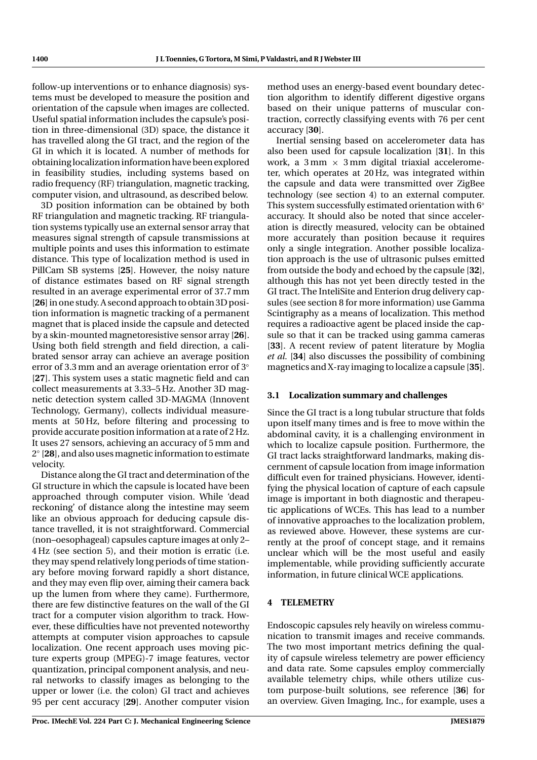follow-up interventions or to enhance diagnosis) systems must be developed to measure the position and orientation of the capsule when images are collected. Useful spatial information includes the capsule's position in three-dimensional (3D) space, the distance it has travelled along the GI tract, and the region of the GI in which it is located. A number of methods for obtaining localization information have been explored in feasibility studies, including systems based on radio frequency (RF) triangulation, magnetic tracking, computer vision, and ultrasound, as described below.

3D position information can be obtained by both RF triangulation and magnetic tracking. RF triangulation systems typically use an external sensor array that measures signal strength of capsule transmissions at multiple points and uses this information to estimate distance. This type of localization method is used in PillCam SB systems [**25**]. However, the noisy nature of distance estimates based on RF signal strength resulted in an average experimental error of 37.7 mm [**26**] in one study. A second approach to obtain 3D position information is magnetic tracking of a permanent magnet that is placed inside the capsule and detected by a skin-mounted magnetoresistive sensor array [**26**]. Using both field strength and field direction, a calibrated sensor array can achieve an average position error of 3.3 mm and an average orientation error of 3<sup>°</sup> [**27**]. This system uses a static magnetic field and can collect measurements at 3.33–5 Hz. Another 3D magnetic detection system called 3D-MAGMA (Innovent Technology, Germany), collects individual measurements at 50 Hz, before filtering and processing to provide accurate position information at a rate of 2 Hz. It uses 27 sensors, achieving an accuracy of 5 mm and 2◦ [**28**], and also uses magnetic information to estimate velocity.

Distance along the GI tract and determination of the GI structure in which the capsule is located have been approached through computer vision. While 'dead reckoning' of distance along the intestine may seem like an obvious approach for deducing capsule distance travelled, it is not straightforward. Commercial (non–oesophageal) capsules capture images at only 2– 4 Hz (see section 5), and their motion is erratic (i.e. they may spend relatively long periods of time stationary before moving forward rapidly a short distance, and they may even flip over, aiming their camera back up the lumen from where they came). Furthermore, there are few distinctive features on the wall of the GI tract for a computer vision algorithm to track. However, these difficulties have not prevented noteworthy attempts at computer vision approaches to capsule localization. One recent approach uses moving picture experts group (MPEG)-7 image features, vector quantization, principal component analysis, and neural networks to classify images as belonging to the upper or lower (i.e. the colon) GI tract and achieves 95 per cent accuracy [**29**]. Another computer vision

method uses an energy-based event boundary detection algorithm to identify different digestive organs based on their unique patterns of muscular contraction, correctly classifying events with 76 per cent accuracy [**30**].

Inertial sensing based on accelerometer data has also been used for capsule localization [**31**]. In this work, a  $3 \text{ mm} \times 3 \text{ mm}$  digital triaxial accelerometer, which operates at 20 Hz, was integrated within the capsule and data were transmitted over ZigBee technology (see section 4) to an external computer. This system successfully estimated orientation with 6<sup>◦</sup> accuracy. It should also be noted that since acceleration is directly measured, velocity can be obtained more accurately than position because it requires only a single integration. Another possible localization approach is the use of ultrasonic pulses emitted from outside the body and echoed by the capsule [**32**], although this has not yet been directly tested in the GI tract. The InteliSite and Enterion drug delivery capsules (see section 8 for more information) use Gamma Scintigraphy as a means of localization. This method requires a radioactive agent be placed inside the capsule so that it can be tracked using gamma cameras [**33**]. A recent review of patent literature by Moglia *et al.* [**34**] also discusses the possibility of combining magnetics and X-ray imaging to localize a capsule [**35**].

# **3.1 Localization summary and challenges**

Since the GI tract is a long tubular structure that folds upon itself many times and is free to move within the abdominal cavity, it is a challenging environment in which to localize capsule position. Furthermore, the GI tract lacks straightforward landmarks, making discernment of capsule location from image information difficult even for trained physicians. However, identifying the physical location of capture of each capsule image is important in both diagnostic and therapeutic applications of WCEs. This has lead to a number of innovative approaches to the localization problem, as reviewed above. However, these systems are currently at the proof of concept stage, and it remains unclear which will be the most useful and easily implementable, while providing sufficiently accurate information, in future clinical WCE applications.

# **4 TELEMETRY**

Endoscopic capsules rely heavily on wireless communication to transmit images and receive commands. The two most important metrics defining the quality of capsule wireless telemetry are power efficiency and data rate. Some capsules employ commercially available telemetry chips, while others utilize custom purpose-built solutions, see reference [**36**] for an overview. Given Imaging, Inc., for example, uses a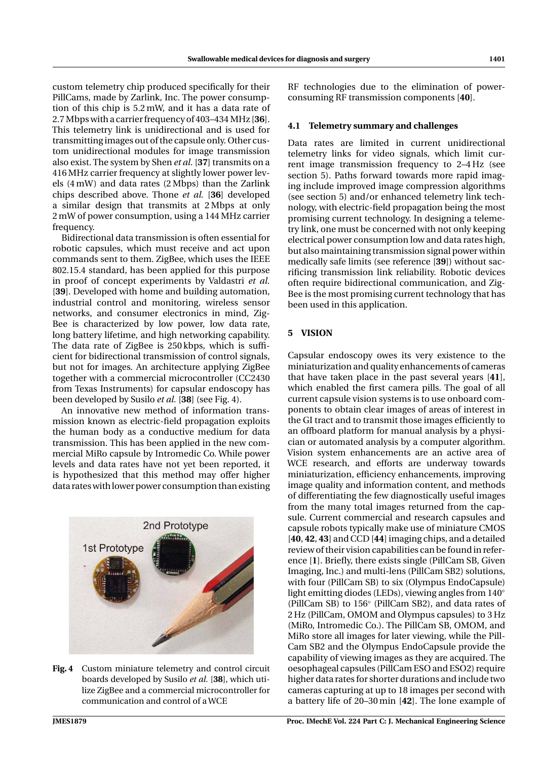custom telemetry chip produced specifically for their PillCams, made by Zarlink, Inc. The power consumption of this chip is 5.2 mW, and it has a data rate of 2.7 Mbps with a carrier frequency of 403–434 MHz [**36**]. This telemetry link is unidirectional and is used for transmitting images out of the capsule only. Other custom unidirectional modules for image transmission also exist. The system by Shen *et al.* [**37**] transmits on a 416 MHz carrier frequency at slightly lower power levels (4 mW) and data rates (2 Mbps) than the Zarlink chips described above. Thone *et al.* [**36**] developed a similar design that transmits at 2 Mbps at only 2 mW of power consumption, using a 144 MHz carrier frequency.

Bidirectional data transmission is often essential for robotic capsules, which must receive and act upon commands sent to them. ZigBee, which uses the IEEE 802.15.4 standard, has been applied for this purpose in proof of concept experiments by Valdastri *et al.* [**39**]. Developed with home and building automation, industrial control and monitoring, wireless sensor networks, and consumer electronics in mind, Zig-Bee is characterized by low power, low data rate, long battery lifetime, and high networking capability. The data rate of ZigBee is 250 kbps, which is sufficient for bidirectional transmission of control signals, but not for images. An architecture applying ZigBee together with a commercial microcontroller (CC2430 from Texas Instruments) for capsular endoscopy has been developed by Susilo *et al.* [**38**] (see Fig. 4).

An innovative new method of information transmission known as electric-field propagation exploits the human body as a conductive medium for data transmission. This has been applied in the new commercial MiRo capsule by Intromedic Co. While power levels and data rates have not yet been reported, it is hypothesized that this method may offer higher data rates with lower power consumption than existing



**Fig. 4** Custom miniature telemetry and control circuit boards developed by Susilo *et al.* [**38**], which utilize ZigBee and a commercial microcontroller for communication and control of a WCE

RF technologies due to the elimination of powerconsuming RF transmission components [**40**].

#### **4.1 Telemetry summary and challenges**

Data rates are limited in current unidirectional telemetry links for video signals, which limit current image transmission frequency to 2–4 Hz (see section 5). Paths forward towards more rapid imaging include improved image compression algorithms (see section 5) and/or enhanced telemetry link technology, with electric-field propagation being the most promising current technology. In designing a telemetry link, one must be concerned with not only keeping electrical power consumption low and data rates high, but also maintaining transmission signal power within medically safe limits (see reference [**39**]) without sacrificing transmission link reliability. Robotic devices often require bidirectional communication, and Zig-Bee is the most promising current technology that has been used in this application.

#### **5 VISION**

Capsular endoscopy owes its very existence to the miniaturization and quality enhancements of cameras that have taken place in the past several years [**41**], which enabled the first camera pills. The goal of all current capsule vision systems is to use onboard components to obtain clear images of areas of interest in the GI tract and to transmit those images efficiently to an offboard platform for manual analysis by a physician or automated analysis by a computer algorithm. Vision system enhancements are an active area of WCE research, and efforts are underway towards miniaturization, efficiency enhancements, improving image quality and information content, and methods of differentiating the few diagnostically useful images from the many total images returned from the capsule. Current commercial and research capsules and capsule robots typically make use of miniature CMOS [**40**, **42**, **43**] and CCD [**44**] imaging chips, and a detailed review of their vision capabilities can be found in reference [**1**]. Briefly, there exists single (PillCam SB, Given Imaging, Inc.) and multi-lens (PillCam SB2) solutions, with four (PillCam SB) to six (Olympus EndoCapsule) light emitting diodes (LEDs), viewing angles from 140◦ (PillCam SB) to 156◦ (PillCam SB2), and data rates of 2 Hz (PillCam, OMOM and Olympus capsules) to 3 Hz (MiRo, Intromedic Co.). The PillCam SB, OMOM, and MiRo store all images for later viewing, while the Pill-Cam SB2 and the Olympus EndoCapsule provide the capability of viewing images as they are acquired. The oesophageal capsules (PillCam ESO and ESO2) require higher data rates for shorter durations and include two cameras capturing at up to 18 images per second with a battery life of 20–30 min [**42**]. The lone example of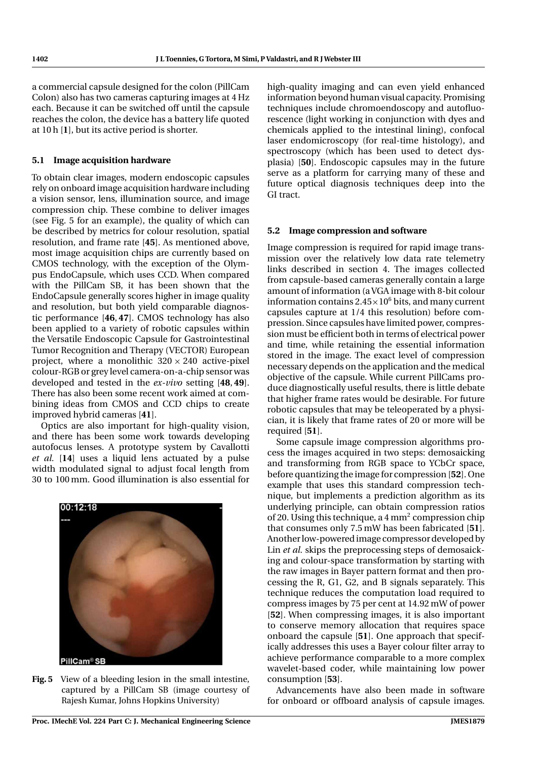a commercial capsule designed for the colon (PillCam Colon) also has two cameras capturing images at 4 Hz each. Because it can be switched off until the capsule reaches the colon, the device has a battery life quoted at 10 h [**1**], but its active period is shorter.

# **5.1 Image acquisition hardware**

To obtain clear images, modern endoscopic capsules rely on onboard image acquisition hardware including a vision sensor, lens, illumination source, and image compression chip. These combine to deliver images (see Fig. 5 for an example), the quality of which can be described by metrics for colour resolution, spatial resolution, and frame rate [**45**]. As mentioned above, most image acquisition chips are currently based on CMOS technology, with the exception of the Olympus EndoCapsule, which uses CCD. When compared with the PillCam SB, it has been shown that the EndoCapsule generally scores higher in image quality and resolution, but both yield comparable diagnostic performance [**46**, **47**]. CMOS technology has also been applied to a variety of robotic capsules within the Versatile Endoscopic Capsule for Gastrointestinal Tumor Recognition and Therapy (VECTOR) European project, where a monolithic  $320 \times 240$  active-pixel colour-RGB or grey level camera-on-a-chip sensor was developed and tested in the *ex-vivo* setting [**48**, **49**]. There has also been some recent work aimed at combining ideas from CMOS and CCD chips to create improved hybrid cameras [**41**].

Optics are also important for high-quality vision, and there has been some work towards developing autofocus lenses. A prototype system by Cavallotti *et al.* [**14**] uses a liquid lens actuated by a pulse width modulated signal to adjust focal length from 30 to 100 mm. Good illumination is also essential for



**Fig. 5** View of a bleeding lesion in the small intestine, captured by a PillCam SB (image courtesy of Rajesh Kumar, Johns Hopkins University)

high-quality imaging and can even yield enhanced information beyond human visual capacity. Promising techniques include chromoendoscopy and autofluorescence (light working in conjunction with dyes and chemicals applied to the intestinal lining), confocal laser endomicroscopy (for real-time histology), and spectroscopy (which has been used to detect dysplasia) [**50**]. Endoscopic capsules may in the future serve as a platform for carrying many of these and future optical diagnosis techniques deep into the GI tract.

# **5.2 Image compression and software**

Image compression is required for rapid image transmission over the relatively low data rate telemetry links described in section 4. The images collected from capsule-based cameras generally contain a large amount of information (a VGA image with 8-bit colour information contains  $2.45\times10^6$  bits, and many current capsules capture at 1/4 this resolution) before compression. Since capsules have limited power, compression must be efficient both in terms of electrical power and time, while retaining the essential information stored in the image. The exact level of compression necessary depends on the application and the medical objective of the capsule. While current PillCams produce diagnostically useful results, there is little debate that higher frame rates would be desirable. For future robotic capsules that may be teleoperated by a physician, it is likely that frame rates of 20 or more will be required [**51**].

Some capsule image compression algorithms process the images acquired in two steps: demosaicking and transforming from RGB space to YCbCr space, before quantizing the image for compression [**52**]. One example that uses this standard compression technique, but implements a prediction algorithm as its underlying principle, can obtain compression ratios of 20. Using this technique, a 4 mm2 compression chip that consumes only 7.5 mW has been fabricated [**51**]. Another low-powered image compressor developed by Lin *et al.* skips the preprocessing steps of demosaicking and colour-space transformation by starting with the raw images in Bayer pattern format and then processing the R, G1, G2, and B signals separately. This technique reduces the computation load required to compress images by 75 per cent at 14.92 mW of power [**52**]. When compressing images, it is also important to conserve memory allocation that requires space onboard the capsule [**51**]. One approach that specifically addresses this uses a Bayer colour filter array to achieve performance comparable to a more complex wavelet-based coder, while maintaining low power consumption [**53**].

Advancements have also been made in software for onboard or offboard analysis of capsule images.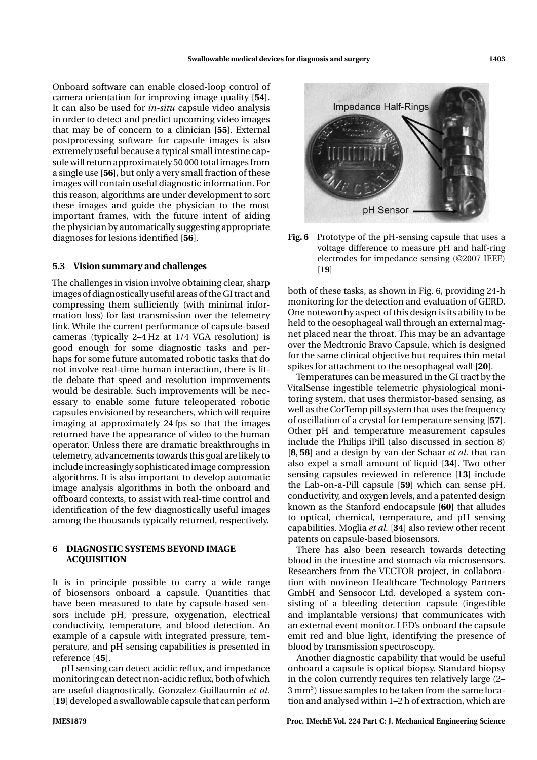Onboard software can enable closed-loop control of camera orientation for improving image quality [**54**]. It can also be used for *in-situ* capsule video analysis in order to detect and predict upcoming video images that may be of concern to a clinician [**55**]. External postprocessing software for capsule images is also extremely useful because a typical small intestine capsule will return approximately 50 000 total images from a single use [**56**], but only a very small fraction of these images will contain useful diagnostic information. For this reason, algorithms are under development to sort these images and guide the physician to the most important frames, with the future intent of aiding the physician by automatically suggesting appropriate diagnoses for lesions identified [**56**].

## **5.3 Vision summary and challenges**

The challenges in vision involve obtaining clear, sharp images of diagnostically useful areas of the GI tract and compressing them sufficiently (with minimal information loss) for fast transmission over the telemetry link. While the current performance of capsule-based cameras (typically 2–4 Hz at 1/4 VGA resolution) is good enough for some diagnostic tasks and perhaps for some future automated robotic tasks that do not involve real-time human interaction, there is little debate that speed and resolution improvements would be desirable. Such improvements will be necessary to enable some future teleoperated robotic capsules envisioned by researchers, which will require imaging at approximately 24 fps so that the images returned have the appearance of video to the human operator. Unless there are dramatic breakthroughs in telemetry, advancements towards this goal are likely to include increasingly sophisticated image compression algorithms. It is also important to develop automatic image analysis algorithms in both the onboard and offboard contexts, to assist with real-time control and identification of the few diagnostically useful images among the thousands typically returned, respectively.

### **6 DIAGNOSTIC SYSTEMS BEYOND IMAGE ACQUISITION**

It is in principle possible to carry a wide range of biosensors onboard a capsule. Quantities that have been measured to date by capsule-based sensors include pH, pressure, oxygenation, electrical conductivity, temperature, and blood detection. An example of a capsule with integrated pressure, temperature, and pH sensing capabilities is presented in reference [**45**].

pH sensing can detect acidic reflux, and impedance monitoring can detect non-acidic reflux, both of which are useful diagnostically. Gonzalez-Guillaumin *et al.* [**19**] developed a swallowable capsule that can perform



**Fig. 6** Prototype of the pH-sensing capsule that uses a voltage difference to measure pH and half-ring electrodes for impedance sensing (©2007 IEEE) [**19**]

both of these tasks, as shown in Fig. 6, providing 24-h monitoring for the detection and evaluation of GERD. One noteworthy aspect of this design is its ability to be held to the oesophageal wall through an external magnet placed near the throat. This may be an advantage over the Medtronic Bravo Capsule, which is designed for the same clinical objective but requires thin metal spikes for attachment to the oesophageal wall [**20**].

Temperatures can be measured in the GI tract by the VitalSense ingestible telemetric physiological monitoring system, that uses thermistor-based sensing, as well as the CorTemp pill system that uses the frequency of oscillation of a crystal for temperature sensing [**57**]. Other pH and temperature measurement capsules include the Philips iPill (also discussed in section 8) [**8**, **58**] and a design by van der Schaar *et al.* that can also expel a small amount of liquid [**34**]. Two other sensing capsules reviewed in reference [**13**] include the Lab-on-a-Pill capsule [**59**] which can sense pH, conductivity, and oxygen levels, and a patented design known as the Stanford endocapsule [**60**] that alludes to optical, chemical, temperature, and pH sensing capabilities. Moglia *et al.* [**34**] also review other recent patents on capsule-based biosensors.

There has also been research towards detecting blood in the intestine and stomach via microsensors. Researchers from the VECTOR project, in collaboration with novineon Healthcare Technology Partners GmbH and Sensocor Ltd. developed a system consisting of a bleeding detection capsule (ingestible and implantable versions) that communicates with an external event monitor. LED's onboard the capsule emit red and blue light, identifying the presence of blood by transmission spectroscopy.

Another diagnostic capability that would be useful onboard a capsule is optical biopsy. Standard biopsy in the colon currently requires ten relatively large (2– 3 mm<sup>3</sup>) tissue samples to be taken from the same location and analysed within 1–2 h of extraction, which are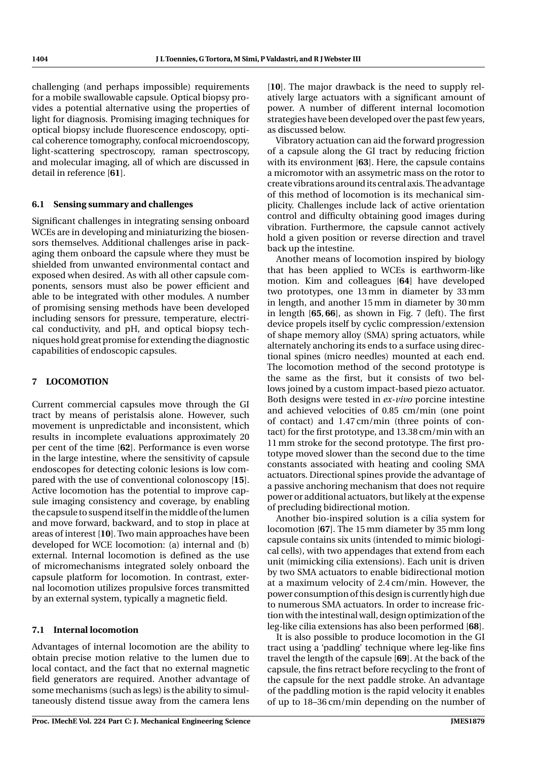challenging (and perhaps impossible) requirements for a mobile swallowable capsule. Optical biopsy provides a potential alternative using the properties of light for diagnosis. Promising imaging techniques for optical biopsy include fluorescence endoscopy, optical coherence tomography, confocal microendoscopy, light-scattering spectroscopy, raman spectroscopy, and molecular imaging, all of which are discussed in detail in reference [**61**].

# **6.1 Sensing summary and challenges**

Significant challenges in integrating sensing onboard WCEs are in developing and miniaturizing the biosensors themselves. Additional challenges arise in packaging them onboard the capsule where they must be shielded from unwanted environmental contact and exposed when desired. As with all other capsule components, sensors must also be power efficient and able to be integrated with other modules. A number of promising sensing methods have been developed including sensors for pressure, temperature, electrical conductivity, and pH, and optical biopsy techniques hold great promise for extending the diagnostic capabilities of endoscopic capsules.

# **7 LOCOMOTION**

Current commercial capsules move through the GI tract by means of peristalsis alone. However, such movement is unpredictable and inconsistent, which results in incomplete evaluations approximately 20 per cent of the time [**62**]. Performance is even worse in the large intestine, where the sensitivity of capsule endoscopes for detecting colonic lesions is low compared with the use of conventional colonoscopy [**15**]. Active locomotion has the potential to improve capsule imaging consistency and coverage, by enabling the capsule to suspend itself in the middle of the lumen and move forward, backward, and to stop in place at areas of interest [**10**]. Two main approaches have been developed for WCE locomotion: (a) internal and (b) external. Internal locomotion is defined as the use of micromechanisms integrated solely onboard the capsule platform for locomotion. In contrast, external locomotion utilizes propulsive forces transmitted by an external system, typically a magnetic field.

## **7.1 Internal locomotion**

Advantages of internal locomotion are the ability to obtain precise motion relative to the lumen due to local contact, and the fact that no external magnetic field generators are required. Another advantage of some mechanisms (such as legs) is the ability to simultaneously distend tissue away from the camera lens

[10]. The major drawback is the need to supply relatively large actuators with a significant amount of power. A number of different internal locomotion strategies have been developed over the past few years, as discussed below.

Vibratory actuation can aid the forward progression of a capsule along the GI tract by reducing friction with its environment [**63**]. Here, the capsule contains a micromotor with an assymetric mass on the rotor to create vibrations around its central axis.The advantage of this method of locomotion is its mechanical simplicity. Challenges include lack of active orientation control and difficulty obtaining good images during vibration. Furthermore, the capsule cannot actively hold a given position or reverse direction and travel back up the intestine.

Another means of locomotion inspired by biology that has been applied to WCEs is earthworm-like motion. Kim and colleagues [**64**] have developed two prototypes, one 13 mm in diameter by 33 mm in length, and another 15 mm in diameter by 30 mm in length [**65**, **66**], as shown in Fig. 7 (left). The first device propels itself by cyclic compression/extension of shape memory alloy (SMA) spring actuators, while alternately anchoring its ends to a surface using directional spines (micro needles) mounted at each end. The locomotion method of the second prototype is the same as the first, but it consists of two bellows joined by a custom impact-based piezo actuator. Both designs were tested in *ex-vivo* porcine intestine and achieved velocities of 0.85 cm/min (one point of contact) and 1.47 cm/min (three points of contact) for the first prototype, and 13.38 cm/min with an 11 mm stroke for the second prototype. The first prototype moved slower than the second due to the time constants associated with heating and cooling SMA actuators. Directional spines provide the advantage of a passive anchoring mechanism that does not require power or additional actuators, but likely at the expense of precluding bidirectional motion.

Another bio-inspired solution is a cilia system for locomotion [**67**]. The 15 mm diameter by 35 mm long capsule contains six units (intended to mimic biological cells), with two appendages that extend from each unit (mimicking cilia extensions). Each unit is driven by two SMA actuators to enable bidirectional motion at a maximum velocity of 2.4 cm/min. However, the power consumption of this design is currently high due to numerous SMA actuators. In order to increase friction with the intestinal wall, design optimization of the leg-like cilia extensions has also been performed [**68**].

It is also possible to produce locomotion in the GI tract using a 'paddling' technique where leg-like fins travel the length of the capsule [**69**]. At the back of the capsule, the fins retract before recycling to the front of the capsule for the next paddle stroke. An advantage of the paddling motion is the rapid velocity it enables of up to 18–36 cm/min depending on the number of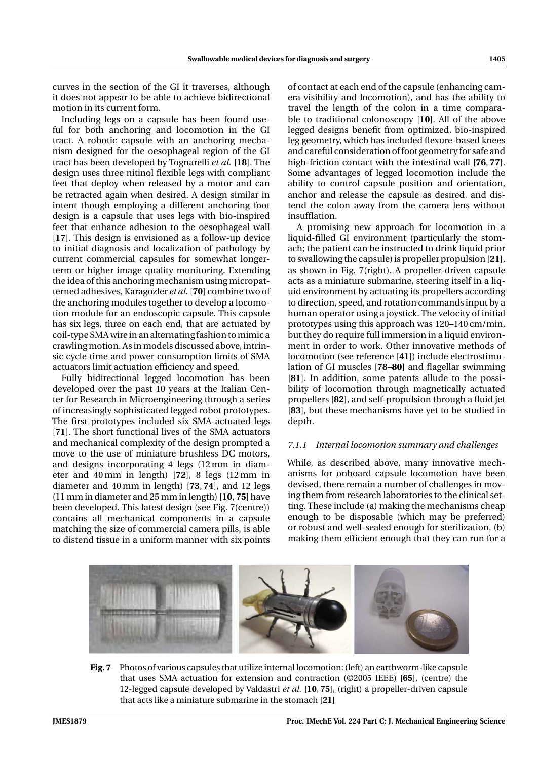curves in the section of the GI it traverses, although it does not appear to be able to achieve bidirectional motion in its current form.

Including legs on a capsule has been found useful for both anchoring and locomotion in the GI tract. A robotic capsule with an anchoring mechanism designed for the oesophageal region of the GI tract has been developed by Tognarelli *et al.* [**18**]. The design uses three nitinol flexible legs with compliant feet that deploy when released by a motor and can be retracted again when desired. A design similar in intent though employing a different anchoring foot design is a capsule that uses legs with bio-inspired feet that enhance adhesion to the oesophageal wall [**17**]. This design is envisioned as a follow-up device to initial diagnosis and localization of pathology by current commercial capsules for somewhat longerterm or higher image quality monitoring. Extending the idea of this anchoring mechanism using micropatterned adhesives, Karagozler *et al.* [**70**] combine two of the anchoring modules together to develop a locomotion module for an endoscopic capsule. This capsule has six legs, three on each end, that are actuated by coil-type SMA wire in an alternating fashion to mimic a crawling motion. As in models discussed above, intrinsic cycle time and power consumption limits of SMA actuators limit actuation efficiency and speed.

Fully bidirectional legged locomotion has been developed over the past 10 years at the Italian Center for Research in Microengineering through a series of increasingly sophisticated legged robot prototypes. The first prototypes included six SMA-actuated legs [**71**]. The short functional lives of the SMA actuators and mechanical complexity of the design prompted a move to the use of miniature brushless DC motors, and designs incorporating 4 legs (12 mm in diameter and 40 mm in length) [**72**], 8 legs (12 mm in diameter and 40 mm in length) [**73**, **74**], and 12 legs (11 mm in diameter and 25 mm in length) [**10**, **75**] have been developed. This latest design (see Fig. 7(centre)) contains all mechanical components in a capsule matching the size of commercial camera pills, is able to distend tissue in a uniform manner with six points

of contact at each end of the capsule (enhancing camera visibility and locomotion), and has the ability to travel the length of the colon in a time comparable to traditional colonoscopy [**10**]. All of the above legged designs benefit from optimized, bio-inspired leg geometry, which has included flexure-based knees and careful consideration of foot geometry for safe and high-friction contact with the intestinal wall [**76**, **77**]. Some advantages of legged locomotion include the ability to control capsule position and orientation, anchor and release the capsule as desired, and distend the colon away from the camera lens without insufflation.

A promising new approach for locomotion in a liquid-filled GI environment (particularly the stomach; the patient can be instructed to drink liquid prior to swallowing the capsule) is propeller propulsion [**21**], as shown in Fig. 7(right). A propeller-driven capsule acts as a miniature submarine, steering itself in a liquid environment by actuating its propellers according to direction, speed, and rotation commands input by a human operator using a joystick. The velocity of initial prototypes using this approach was 120–140 cm/min, but they do require full immersion in a liquid environment in order to work. Other innovative methods of locomotion (see reference [**41**]) include electrostimulation of GI muscles [**78**–**80**] and flagellar swimming [**81**]. In addition, some patents allude to the possibility of locomotion through magnetically actuated propellers [**82**], and self-propulsion through a fluid jet [**83**], but these mechanisms have yet to be studied in depth.

## *7.1.1 Internal locomotion summary and challenges*

While, as described above, many innovative mechanisms for onboard capsule locomotion have been devised, there remain a number of challenges in moving them from research laboratories to the clinical setting. These include (a) making the mechanisms cheap enough to be disposable (which may be preferred) or robust and well-sealed enough for sterilization, (b) making them efficient enough that they can run for a



that uses SMA actuation for extension and contraction (©2005 IEEE) [**65**], (centre) the 12-legged capsule developed by Valdastri *et al.* [**10**, **75**], (right) a propeller-driven capsule that acts like a miniature submarine in the stomach [**21**]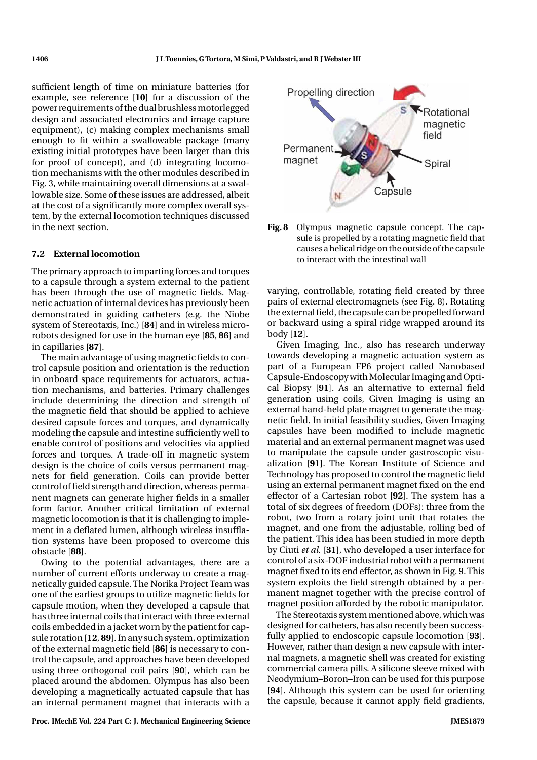sufficient length of time on miniature batteries (for example, see reference [**10**] for a discussion of the power requirements of the dual brushless motorlegged design and associated electronics and image capture equipment), (c) making complex mechanisms small enough to fit within a swallowable package (many existing initial prototypes have been larger than this for proof of concept), and (d) integrating locomotion mechanisms with the other modules described in Fig. 3, while maintaining overall dimensions at a swallowable size. Some of these issues are addressed, albeit at the cost of a significantly more complex overall system, by the external locomotion techniques discussed in the next section.

# **7.2 External locomotion**

The primary approach to imparting forces and torques to a capsule through a system external to the patient has been through the use of magnetic fields. Magnetic actuation of internal devices has previously been demonstrated in guiding catheters (e.g. the Niobe system of Stereotaxis, Inc.) [**84**] and in wireless microrobots designed for use in the human eye [**85**, **86**] and in capillaries [**87**].

The main advantage of using magnetic fields to control capsule position and orientation is the reduction in onboard space requirements for actuators, actuation mechanisms, and batteries. Primary challenges include determining the direction and strength of the magnetic field that should be applied to achieve desired capsule forces and torques, and dynamically modeling the capsule and intestine sufficiently well to enable control of positions and velocities via applied forces and torques. A trade-off in magnetic system design is the choice of coils versus permanent magnets for field generation. Coils can provide better control of field strength and direction, whereas permanent magnets can generate higher fields in a smaller form factor. Another critical limitation of external magnetic locomotion is that it is challenging to implement in a deflated lumen, although wireless insufflation systems have been proposed to overcome this obstacle [**88**].

Owing to the potential advantages, there are a number of current efforts underway to create a magnetically guided capsule. The Norika Project Team was one of the earliest groups to utilize magnetic fields for capsule motion, when they developed a capsule that has three internal coils that interact with three external coils embedded in a jacket worn by the patient for capsule rotation [**12**, **89**]. In any such system, optimization of the external magnetic field [**86**] is necessary to control the capsule, and approaches have been developed using three orthogonal coil pairs [**90**], which can be placed around the abdomen. Olympus has also been developing a magnetically actuated capsule that has an internal permanent magnet that interacts with a



**Fig. 8** Olympus magnetic capsule concept. The capsule is propelled by a rotating magnetic field that causes a helical ridge on the outside of the capsule to interact with the intestinal wall

varying, controllable, rotating field created by three pairs of external electromagnets (see Fig. 8). Rotating the external field, the capsule can be propelled forward or backward using a spiral ridge wrapped around its body [**12**].

Given Imaging, Inc., also has research underway towards developing a magnetic actuation system as part of a European FP6 project called Nanobased Capsule-Endoscopy with Molecular Imaging and Optical Biopsy [**91**]. As an alternative to external field generation using coils, Given Imaging is using an external hand-held plate magnet to generate the magnetic field. In initial feasibility studies, Given Imaging capsules have been modified to include magnetic material and an external permanent magnet was used to manipulate the capsule under gastroscopic visualization [**91**]. The Korean Institute of Science and Technology has proposed to control the magnetic field using an external permanent magnet fixed on the end effector of a Cartesian robot [**92**]. The system has a total of six degrees of freedom (DOFs): three from the robot, two from a rotary joint unit that rotates the magnet, and one from the adjustable, rolling bed of the patient. This idea has been studied in more depth by Ciuti *et al.* [**31**], who developed a user interface for control of a six-DOF industrial robot with a permanent magnet fixed to its end effector, as shown in Fig. 9. This system exploits the field strength obtained by a permanent magnet together with the precise control of magnet position afforded by the robotic manipulator.

The Stereotaxis system mentioned above, which was designed for catheters, has also recently been successfully applied to endoscopic capsule locomotion [**93**]. However, rather than design a new capsule with internal magnets, a magnetic shell was created for existing commercial camera pills. A silicone sleeve mixed with Neodymium–Boron–Iron can be used for this purpose [**94**]. Although this system can be used for orienting the capsule, because it cannot apply field gradients,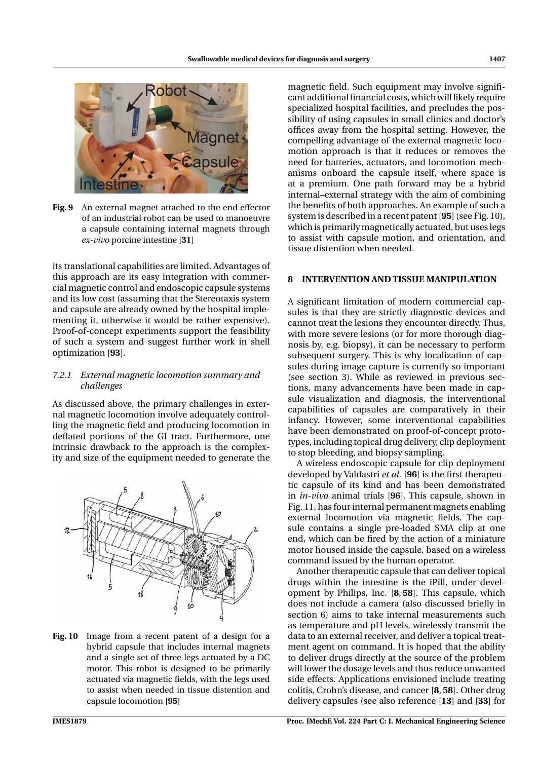

**Fig. 9** An external magnet attached to the end effector of an industrial robot can be used to manoeuvre a capsule containing internal magnets through *ex-vivo* porcine intestine [**31**]

its translational capabilities are limited. Advantages of this approach are its easy integration with commercial magnetic control and endoscopic capsule systems and its low cost (assuming that the Stereotaxis system and capsule are already owned by the hospital implementing it, otherwise it would be rather expensive). Proof-of-concept experiments support the feasibility of such a system and suggest further work in shell optimization [**93**].

# *7.2.1 External magnetic locomotion summary and challenges*

As discussed above, the primary challenges in external magnetic locomotion involve adequately controlling the magnetic field and producing locomotion in deflated portions of the GI tract. Furthermore, one intrinsic drawback to the approach is the complexity and size of the equipment needed to generate the



**Fig. 10** Image from a recent patent of a design for a hybrid capsule that includes internal magnets and a single set of three legs actuated by a DC motor. This robot is designed to be primarily actuated via magnetic fields, with the legs used to assist when needed in tissue distention and capsule locomotion [**95**]

magnetic field. Such equipment may involve significant additional financial costs, which will likely require specialized hospital facilities, and precludes the possibility of using capsules in small clinics and doctor's offices away from the hospital setting. However, the compelling advantage of the external magnetic locomotion approach is that it reduces or removes the need for batteries, actuators, and locomotion mechanisms onboard the capsule itself, where space is at a premium. One path forward may be a hybrid internal–external strategy with the aim of combining the benefits of both approaches. An example of such a system is described in a recent patent [**95**] (see Fig. 10), which is primarily magnetically actuated, but uses legs to assist with capsule motion, and orientation, and tissue distention when needed.

#### **8 INTERVENTION AND TISSUE MANIPULATION**

A significant limitation of modern commercial capsules is that they are strictly diagnostic devices and cannot treat the lesions they encounter directly. Thus, with more severe lesions (or for more thorough diagnosis by, e.g. biopsy), it can be necessary to perform subsequent surgery. This is why localization of capsules during image capture is currently so important (see section 3). While as reviewed in previous sections, many advancements have been made in capsule visualization and diagnosis, the interventional capabilities of capsules are comparatively in their infancy. However, some interventional capabilities have been demonstrated on proof-of-concept prototypes, including topical drug delivery, clip deployment to stop bleeding, and biopsy sampling.

A wireless endoscopic capsule for clip deployment developed by Valdastri *et al.* [**96**] is the first therapeutic capsule of its kind and has been demonstrated in *in-vivo* animal trials [**96**]. This capsule, shown in Fig. 11, has four internal permanent magnets enabling external locomotion via magnetic fields. The capsule contains a single pre-loaded SMA clip at one end, which can be fired by the action of a miniature motor housed inside the capsule, based on a wireless command issued by the human operator.

Another therapeutic capsule that can deliver topical drugs within the intestine is the iPill, under development by Philips, Inc. [**8**, **58**]. This capsule, which does not include a camera (also discussed briefly in section 6) aims to take internal measurements such as temperature and pH levels, wirelessly transmit the data to an external receiver, and deliver a topical treatment agent on command. It is hoped that the ability to deliver drugs directly at the source of the problem will lower the dosage levels and thus reduce unwanted side effects. Applications envisioned include treating colitis, Crohn's disease, and cancer [**8**, **58**]. Other drug delivery capsules (see also reference [**13**] and [**33**] for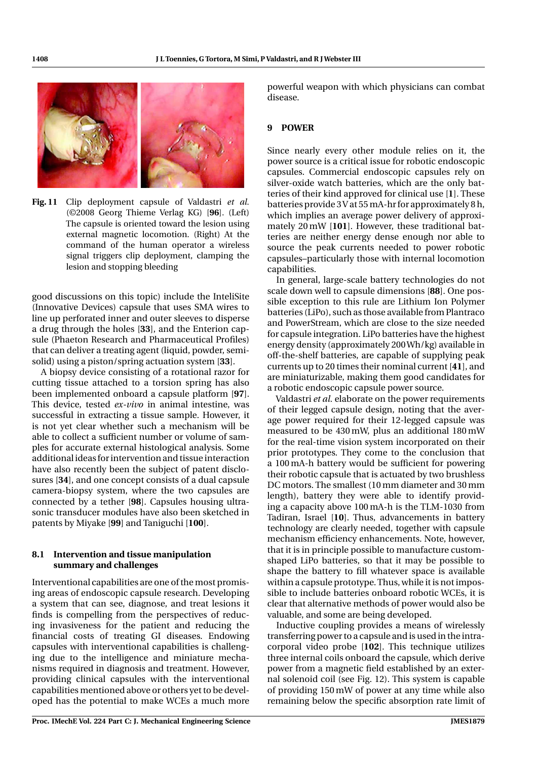

**Fig. 11** Clip deployment capsule of Valdastri *et al.* (©2008 Georg Thieme Verlag KG) [**96**]. (Left) The capsule is oriented toward the lesion using external magnetic locomotion. (Right) At the command of the human operator a wireless signal triggers clip deployment, clamping the lesion and stopping bleeding

good discussions on this topic) include the InteliSite (Innovative Devices) capsule that uses SMA wires to line up perforated inner and outer sleeves to disperse a drug through the holes [**33**], and the Enterion capsule (Phaeton Research and Pharmaceutical Profiles) that can deliver a treating agent (liquid, powder, semisolid) using a piston/spring actuation system [**33**].

A biopsy device consisting of a rotational razor for cutting tissue attached to a torsion spring has also been implemented onboard a capsule platform [**97**]. This device, tested *ex-vivo* in animal intestine, was successful in extracting a tissue sample. However, it is not yet clear whether such a mechanism will be able to collect a sufficient number or volume of samples for accurate external histological analysis. Some additional ideas for intervention and tissue interaction have also recently been the subject of patent disclosures [**34**], and one concept consists of a dual capsule camera-biopsy system, where the two capsules are connected by a tether [**98**]. Capsules housing ultrasonic transducer modules have also been sketched in patents by Miyake [**99**] and Taniguchi [**100**].

# **8.1 Intervention and tissue manipulation summary and challenges**

Interventional capabilities are one of the most promising areas of endoscopic capsule research. Developing a system that can see, diagnose, and treat lesions it finds is compelling from the perspectives of reducing invasiveness for the patient and reducing the financial costs of treating GI diseases. Endowing capsules with interventional capabilities is challenging due to the intelligence and miniature mechanisms required in diagnosis and treatment. However, providing clinical capsules with the interventional capabilities mentioned above or others yet to be developed has the potential to make WCEs a much more

powerful weapon with which physicians can combat disease.

## **9 POWER**

Since nearly every other module relies on it, the power source is a critical issue for robotic endoscopic capsules. Commercial endoscopic capsules rely on silver-oxide watch batteries, which are the only batteries of their kind approved for clinical use [**1**]. These batteries provide 3V at 55 mA-hr for approximately 8 h, which implies an average power delivery of approximately 20 mW [**101**]. However, these traditional batteries are neither energy dense enough nor able to source the peak currents needed to power robotic capsules–particularly those with internal locomotion capabilities.

In general, large-scale battery technologies do not scale down well to capsule dimensions [**88**]. One possible exception to this rule are Lithium Ion Polymer batteries (LiPo), such as those available from Plantraco and PowerStream, which are close to the size needed for capsule integration. LiPo batteries have the highest energy density (approximately 200Wh/kg) available in off-the-shelf batteries, are capable of supplying peak currents up to 20 times their nominal current [**41**], and are miniaturizable, making them good candidates for a robotic endoscopic capsule power source.

Valdastri *et al.* elaborate on the power requirements of their legged capsule design, noting that the average power required for their 12-legged capsule was measured to be 430 mW, plus an additional 180 mW for the real-time vision system incorporated on their prior prototypes. They come to the conclusion that a 100 mA-h battery would be sufficient for powering their robotic capsule that is actuated by two brushless DC motors. The smallest (10 mm diameter and 30 mm length), battery they were able to identify providing a capacity above 100 mA-h is the TLM-1030 from Tadiran, Israel [**10**]. Thus, advancements in battery technology are clearly needed, together with capsule mechanism efficiency enhancements. Note, however, that it is in principle possible to manufacture customshaped LiPo batteries, so that it may be possible to shape the battery to fill whatever space is available within a capsule prototype. Thus, while it is not impossible to include batteries onboard robotic WCEs, it is clear that alternative methods of power would also be valuable, and some are being developed.

Inductive coupling provides a means of wirelessly transferring power to a capsule and is used in the intracorporal video probe [**102**]. This technique utilizes three internal coils onboard the capsule, which derive power from a magnetic field established by an external solenoid coil (see Fig. 12). This system is capable of providing 150 mW of power at any time while also remaining below the specific absorption rate limit of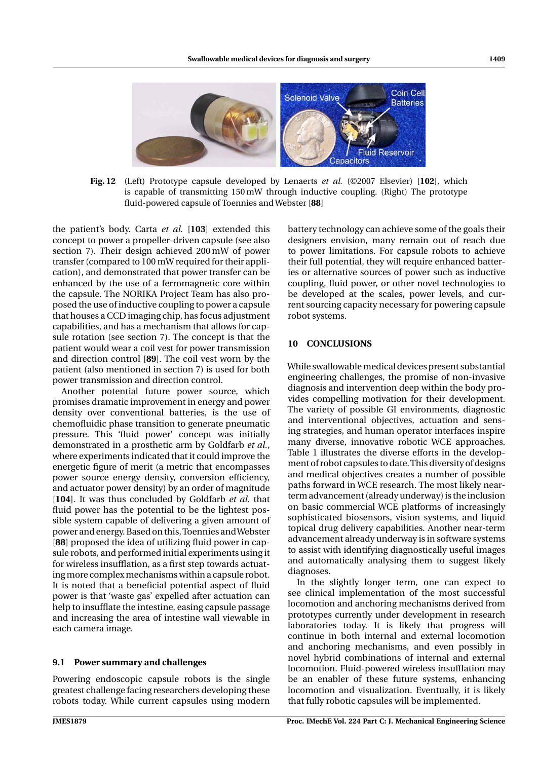

**Fig. 12** (Left) Prototype capsule developed by Lenaerts *et al.* (©2007 Elsevier) [**102**], which is capable of transmitting 150 mW through inductive coupling. (Right) The prototype fluid-powered capsule of Toennies and Webster [**88**]

the patient's body. Carta *et al.* [**103**] extended this concept to power a propeller-driven capsule (see also section 7). Their design achieved 200 mW of power transfer (compared to 100 mW required for their application), and demonstrated that power transfer can be enhanced by the use of a ferromagnetic core within the capsule. The NORIKA Project Team has also proposed the use of inductive coupling to power a capsule that houses a CCD imaging chip, has focus adjustment capabilities, and has a mechanism that allows for capsule rotation (see section 7). The concept is that the patient would wear a coil vest for power transmission and direction control [**89**]. The coil vest worn by the patient (also mentioned in section 7) is used for both power transmission and direction control.

Another potential future power source, which promises dramatic improvement in energy and power density over conventional batteries, is the use of chemofluidic phase transition to generate pneumatic pressure. This 'fluid power' concept was initially demonstrated in a prosthetic arm by Goldfarb *et al.*, where experiments indicated that it could improve the energetic figure of merit (a metric that encompasses power source energy density, conversion efficiency, and actuator power density) by an order of magnitude [**104**]. It was thus concluded by Goldfarb *et al.* that fluid power has the potential to be the lightest possible system capable of delivering a given amount of power and energy. Based on this,Toennies andWebster [**88**] proposed the idea of utilizing fluid power in capsule robots, and performed initial experiments using it for wireless insufflation, as a first step towards actuating more complex mechanisms within a capsule robot. It is noted that a beneficial potential aspect of fluid power is that 'waste gas' expelled after actuation can help to insufflate the intestine, easing capsule passage and increasing the area of intestine wall viewable in each camera image.

#### **9.1 Power summary and challenges**

Powering endoscopic capsule robots is the single greatest challenge facing researchers developing these robots today. While current capsules using modern battery technology can achieve some of the goals their designers envision, many remain out of reach due to power limitations. For capsule robots to achieve their full potential, they will require enhanced batteries or alternative sources of power such as inductive coupling, fluid power, or other novel technologies to be developed at the scales, power levels, and current sourcing capacity necessary for powering capsule robot systems.

#### **10 CONCLUSIONS**

While swallowable medical devices present substantial engineering challenges, the promise of non-invasive diagnosis and intervention deep within the body provides compelling motivation for their development. The variety of possible GI environments, diagnostic and interventional objectives, actuation and sensing strategies, and human operator interfaces inspire many diverse, innovative robotic WCE approaches. Table 1 illustrates the diverse efforts in the development of robot capsules to date.This diversity of designs and medical objectives creates a number of possible paths forward in WCE research. The most likely nearterm advancement (already underway) is the inclusion on basic commercial WCE platforms of increasingly sophisticated biosensors, vision systems, and liquid topical drug delivery capabilities. Another near-term advancement already underway is in software systems to assist with identifying diagnostically useful images and automatically analysing them to suggest likely diagnoses.

In the slightly longer term, one can expect to see clinical implementation of the most successful locomotion and anchoring mechanisms derived from prototypes currently under development in research laboratories today. It is likely that progress will continue in both internal and external locomotion and anchoring mechanisms, and even possibly in novel hybrid combinations of internal and external locomotion. Fluid-powered wireless insufflation may be an enabler of these future systems, enhancing locomotion and visualization. Eventually, it is likely that fully robotic capsules will be implemented.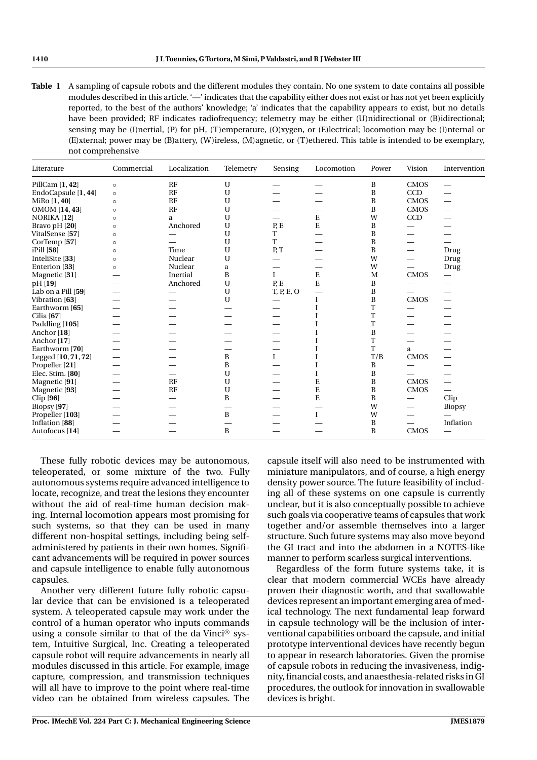| Table 1 A sampling of capsule robots and the different modules they contain. No one system to date contains all possible  |
|---------------------------------------------------------------------------------------------------------------------------|
| modules described in this article. '—' indicates that the capability either does not exist or has not yet been explicitly |
| reported, to the best of the authors' knowledge; 'a' indicates that the capability appears to exist, but no details       |
| have been provided; RF indicates radiofrequency; telemetry may be either (U)nidirectional or (B)idirectional;             |
| sensing may be (I) nertial, (P) for pH, (T) emperature, (O) xygen, or (E) lectrical; locomotion may be (I) nternal or     |
| (E) xternal; power may be (B) attery, (W) ireless, (M) agnetic, or (T) ethered. This table is intended to be exemplary,   |
| not comprehensive                                                                                                         |
|                                                                                                                           |

| Literature              | Commercial | Localization | Telemetry   | Sensing          | Locomotion  | Power | Vision                   | Intervention                    |
|-------------------------|------------|--------------|-------------|------------------|-------------|-------|--------------------------|---------------------------------|
| PillCam $[1, 42]$       | $\circ$    | RF           | U           |                  |             | B     | <b>CMOS</b>              | —                               |
| EndoCapsule [1, 44]     | $\circ$    | RF           | $\mathbf U$ |                  |             | B     | <b>CCD</b>               |                                 |
| MiRo $[1, 40]$          | $\circ$    | RF           | U           |                  |             | B     | <b>CMOS</b>              | $\hspace{0.1mm}-\hspace{0.1mm}$ |
| OMOM [14, 43]           | $\Omega$   | RF           | U           |                  |             | B     | <b>CMOS</b>              | $\overline{\phantom{0}}$        |
| NORIKA [12]             | $\circ$    | a            | U           |                  | E           | W     | <b>CCD</b>               |                                 |
| Bravo pH [20]           | $\circ$    | Anchored     | $\mathbf U$ | P, E             | E           | B     |                          |                                 |
| VitalSense [57]         | $\Omega$   |              | $\mathbf U$ | T                |             | B     |                          |                                 |
| CorTemp <sup>[57]</sup> | $\circ$    |              | $\mathbf U$ | T.               |             | B     |                          |                                 |
| $iPill$ [58]            | $\circ$    | Time         | U           | P, T             |             | B     |                          | Drug                            |
| InteliSite [33]         | $\circ$    | Nuclear      | U           |                  |             | W     | $\overline{\phantom{0}}$ | Drug                            |
| Enterion [33]           | $\circ$    | Nuclear      | a           |                  |             | W     | $\sim$                   | Drug                            |
| Magnetic [31]           |            | Inertial     | B           | $\mathbf I$      | E           | M     | <b>CMOS</b>              | $\overline{\phantom{0}}$        |
| pH [19]                 |            | Anchored     | $\mathbf U$ | P <sub>i</sub> E | E           | B     |                          |                                 |
| Lab on a Pill [59]      |            |              | U           | T, P, E, O       |             | B     |                          | —                               |
| Vibration [63]          |            |              | $\mathbf U$ |                  | Ι           | B     | <b>CMOS</b>              | $\overline{\phantom{0}}$        |
| Earthworm [65]          |            |              |             |                  |             | T     |                          |                                 |
| Cilia $[67]$            |            |              |             |                  |             | T     |                          |                                 |
| Paddling [105]          |            |              |             |                  |             | T     |                          |                                 |
| Anchor [18]             |            |              |             |                  |             | B     |                          |                                 |
| Anchor [17]             |            |              |             |                  |             | T     |                          |                                 |
| Earthworm [70]          |            |              |             |                  |             | T     | a                        |                                 |
| Legged [10, 71, 72]     |            |              | B           | $\mathbf{I}$     |             | T/B   | $\rm CMOS$               |                                 |
| Propeller [21]          |            |              | B           |                  |             | B     |                          |                                 |
| Elec. Stim. [80]        |            |              | U           |                  |             | B     |                          |                                 |
| Magnetic [91]           |            | RF           | $\mathbf U$ |                  | E           | B     | <b>CMOS</b>              | $\overline{\phantom{0}}$        |
| Magnetic [93]           |            | RF           | U           |                  | E           | B     | <b>CMOS</b>              | $\overline{\phantom{0}}$        |
| Clip [96]               |            |              | B           |                  | E           | B     |                          | Clip                            |
| Biopsy [97]             |            |              |             |                  |             | W     | $\overline{\phantom{0}}$ | <b>Biopsy</b>                   |
| Propeller [103]         |            |              | B           |                  | $\mathbf I$ | W     |                          |                                 |
| Inflation [88]          |            |              |             |                  |             | B     |                          | Inflation                       |
| Autofocus [14]          |            |              | B           |                  |             | B     | <b>CMOS</b>              |                                 |

These fully robotic devices may be autonomous, teleoperated, or some mixture of the two. Fully autonomous systems require advanced intelligence to locate, recognize, and treat the lesions they encounter without the aid of real-time human decision making. Internal locomotion appears most promising for such systems, so that they can be used in many different non-hospital settings, including being selfadministered by patients in their own homes. Significant advancements will be required in power sources and capsule intelligence to enable fully autonomous capsules.

Another very different future fully robotic capsular device that can be envisioned is a teleoperated system. A teleoperated capsule may work under the control of a human operator who inputs commands using a console similar to that of the da Vinci® system, Intuitive Surgical, Inc. Creating a teleoperated capsule robot will require advancements in nearly all modules discussed in this article. For example, image capture, compression, and transmission techniques will all have to improve to the point where real-time video can be obtained from wireless capsules. The

capsule itself will also need to be instrumented with miniature manipulators, and of course, a high energy density power source. The future feasibility of including all of these systems on one capsule is currently unclear, but it is also conceptually possible to achieve such goals via cooperative teams of capsules that work together and/or assemble themselves into a larger structure. Such future systems may also move beyond the GI tract and into the abdomen in a NOTES-like manner to perform scarless surgical interventions.

Regardless of the form future systems take, it is clear that modern commercial WCEs have already proven their diagnostic worth, and that swallowable devices represent an important emerging area of medical technology. The next fundamental leap forward in capsule technology will be the inclusion of interventional capabilities onboard the capsule, and initial prototype interventional devices have recently begun to appear in research laboratories. Given the promise of capsule robots in reducing the invasiveness, indignity, financial costs, and anaesthesia-related risks in GI procedures, the outlook for innovation in swallowable devices is bright.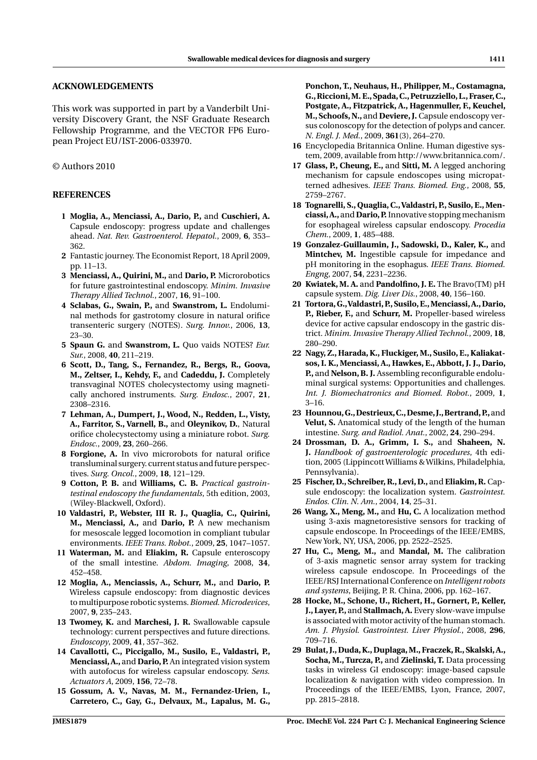## **ACKNOWLEDGEMENTS**

This work was supported in part by a Vanderbilt University Discovery Grant, the NSF Graduate Research Fellowship Programme, and the VECTOR FP6 European Project EU/IST-2006-033970.

# © Authors 2010

# **REFERENCES**

- **1 Moglia, A., Menciassi, A., Dario, P.,** and **Cuschieri, A.** Capsule endoscopy: progress update and challenges ahead. *Nat. Rev. Gastroenterol. Hepatol.*, 2009, **6**, 353– 362.
- **2** Fantastic journey. The Economist Report, 18 April 2009, pp. 11–13.
- **3 Menciassi, A., Quirini, M.,** and **Dario, P.** Microrobotics for future gastrointestinal endoscopy. *Minim. Invasive Therapy Allied Technol.*, 2007, **16**, 91–100.
- **4 Sclabas, G., Swain, P.,** and **Swanstrom, L.** Endoluminal methods for gastrotomy closure in natural orifice transenteric surgery (NOTES). *Surg. Innov.*, 2006, **13**, 23–30.
- **5 Spaun G.** and **Swanstrom, L.** Quo vaids NOTES? *Eur. Sur.*, 2008, **40**, 211–219.
- **6 Scott, D., Tang, S., Fernandez, R., Bergs, R., Goova, M., Zeltser, I., Kehdy, F.,** and **Cadeddu, J.** Completely transvaginal NOTES cholecystectomy using magnetically anchored instruments. *Surg. Endosc.*, 2007, **21**, 2308–2316.
- **7 Lehman, A., Dumpert, J., Wood, N., Redden, L., Visty, A., Farritor, S., Varnell, B.,** and **Oleynikov, D.**, Natural orifice cholecystectomy using a miniature robot. *Surg. Endosc.*, 2009, **23**, 260–266.
- **8 Forgione, A.** In vivo microrobots for natural orifice transluminal surgery. current status and future perspectives. *Surg. Oncol.*, 2009, **18**, 121–129.
- **9 Cotton, P. B.** and **Williams, C. B.** *Practical gastrointestinal endoscopy the fundamentals*, 5th edition, 2003, (Wiley-Blackwell, Oxford).
- **10 Valdastri, P., Webster, III R. J., Quaglia, C., Quirini, M., Menciassi, A.,** and **Dario, P.** A new mechanism for mesoscale legged locomotion in compliant tubular environments. *IEEE Trans. Robot.*, 2009, **25**, 1047–1057.
- **11 Waterman, M.** and **Eliakim, R.** Capsule enteroscopy of the small intestine. *Abdom. Imaging*, 2008, **34**, 452–458.
- **12 Moglia, A., Menciassis, A., Schurr, M.,** and **Dario, P.** Wireless capsule endoscopy: from diagnostic devices to multipurpose robotic systems.*Biomed. Microdevices*, 2007, **9**, 235–243.
- **13 Twomey, K.** and **Marchesi, J. R.** Swallowable capsule technology: current perspectives and future directions. *Endoscopy*, 2009, **41**, 357–362.
- **14 Cavallotti, C., Piccigallo, M., Susilo, E., Valdastri, P., Menciassi, A.,** and **Dario, P.** An integrated vision system with autofocus for wireless capsular endoscopy. *Sens. Actuators A*, 2009, **156**, 72–78.
- **15 Gossum, A. V., Navas, M. M., Fernandez-Urien, I., Carretero, C., Gay, G., Delvaux, M., Lapalus, M. G.,**

**Ponchon, T., Neuhaus, H., Philipper, M., Costamagna, G.,Riccioni,M. E., Spada,C.,Petruzziello, L., Fraser,C., Postgate, A., Fitzpatrick, A., Hagenmuller, F., Keuchel, M., Schoofs, N.,** and **Deviere, J.** Capsule endoscopy versus colonoscopy for the detection of polyps and cancer. *N. Engl. J. Med.*, 2009, **361**(3), 264–270.

- **16** Encyclopedia Britannica Online. Human digestive system, 2009, available from http://www.britannica.com/.
- **17 Glass, P., Cheung, E.,** and **Sitti, M.** A legged anchoring mechanism for capsule endoscopes using micropatterned adhesives. *IEEE Trans. Biomed. Eng.*, 2008, **55**, 2759–2767.
- **18 Tognarelli, S., Quaglia, C.,Valdastri, P., Susilo, E., Menciassi, A.,**and **Dario,P.** Innovative stopping mechanism for esophageal wireless capsular endoscopy. *Procedia Chem.*, 2009, **1**, 485–488.
- **19 Gonzalez-Guillaumin, J., Sadowski, D., Kaler, K.,** and **Mintchev, M.** Ingestible capsule for impedance and pH monitoring in the esophagus. *IEEE Trans. Biomed. Engng*, 2007, **54**, 2231–2236.
- **20 Kwiatek, M. A.** and **Pandolfino, J. E.** The Bravo(TM) pH capsule system. *Dig. Liver Dis.*, 2008, **40**, 156–160.
- **21 Tortora, G.,Valdastri,P., Susilo, E.,Menciassi,A.,Dario, P., Rieber, F.,** and **Schurr, M.** Propeller-based wireless device for active capsular endoscopy in the gastric district. *Minim. Invasive Therapy Allied Technol.*, 2009, **18**, 280–290.
- **22 Nagy, Z., Harada, K., Fluckiger, M., Susilo, E., Kaliakatsos, I. K., Menciassi, A., Hawkes, E., Abbott, J. J., Dario, P.,** and **Nelson, B. J.** Assembling reconfigurable endoluminal surgical systems: Opportunities and challenges. *Int. J. Biomechatronics and Biomed. Robot.*, 2009, **1**, 3–16.
- **23 Hounnou,G.,Destrieux,C.,Desme, J.,Bertrand,P.,**and **Velut, S.** Anatomical study of the length of the human intestine. *Surg. and Radiol. Anat.*, 2002, **24**, 290–294.
- **24 Drossman, D. A., Grimm, I. S.,** and **Shaheen, N. J.** *Handbook of gastroenterologic procedures*, 4th edition, 2005 (Lippincott Williams & Wilkins, Philadelphia, Pennsylvania).
- **25 Fischer, D., Schreiber, R., Levi, D.,** and **Eliakim, R.** Capsule endoscopy: the localization system. *Gastrointest. Endos. Clin. N. Am.*, 2004, **14**, 25–31.
- **26 Wang, X., Meng, M.,** and **Hu, C.** A localization method using 3-axis magnetoresistive sensors for tracking of capsule endoscope. In Proceedings of the IEEE/EMBS, New York, NY, USA, 2006, pp. 2522–2525.
- **27 Hu, C., Meng, M.,** and **Mandal, M.** The calibration of 3-axis magnetic sensor array system for tracking wireless capsule endoscope. In Proceedings of the IEEE/RSJ International Conference on *Intelligent robots and systems*, Beijing, P. R. China, 2006, pp. 162–167.
- **28 Hocke, M., Schone, U., Richert, H., Gornert, P., Keller, J., Layer, P.,** and **Stallmach, A.** Every slow-wave impulse is associated with motor activity of the human stomach. *Am. J. Physiol. Gastrointest. Liver Physiol.*, 2008, **296**, 709–716.
- **29 Bulat, J., Duda, K., Duplaga,M., Fraczek, R., Skalski, A., Socha, M., Turcza, P.,** and **Zielinski, T.** Data processing tasks in wireless GI endoscopy: image-based capsule localization & navigation with video compression. In Proceedings of the IEEE/EMBS, Lyon, France, 2007, pp. 2815–2818.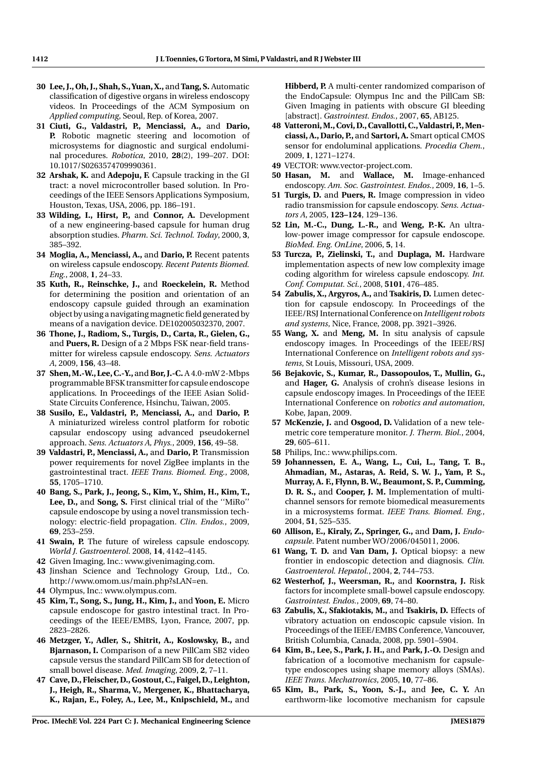- **30 Lee, J., Oh, J., Shah, S.,Yuan, X.,** and **Tang, S.** Automatic classification of digestive organs in wireless endoscopy videos. In Proceedings of the ACM Symposium on *Applied computing*, Seoul, Rep. of Korea, 2007.
- **31 Ciuti, G., Valdastri, P., Menciassi, A.,** and **Dario, P.** Robotic magnetic steering and locomotion of microsystems for diagnostic and surgical endoluminal procedures. *Robotica*, 2010, **28**(2), 199–207. DOI: 10.1017/S0263574709990361.
- **32 Arshak, K.** and **Adepoju, F.** Capsule tracking in the GI tract: a novel microcontroller based solution. In Proceedings of the IEEE Sensors Applications Symposium, Houston, Texas, USA, 2006, pp. 186–191.
- **33 Wilding, I., Hirst, P.,** and **Connor, A.** Development of a new engineering-based capsule for human drug absorption studies. *Pharm. Sci. Technol. Today*, 2000, **3**, 385–392.
- **34 Moglia, A., Menciassi, A.,** and **Dario, P.** Recent patents on wireless capsule endoscopy. *Recent Patents Biomed. Eng.*, 2008, **1**, 24–33.
- **35 Kuth, R., Reinschke, J.,** and **Roeckelein, R.** Method for determining the position and orientation of an endoscopy capsule guided through an examination object by using a navigating magnetic field generated by means of a navigation device. DE102005032370, 2007.
- **36 Thone, J., Radiom, S., Turgis, D., Carta, R., Gielen, G.,** and **Puers, R.** Design of a 2 Mbps FSK near-field transmitter for wireless capsule endoscopy. *Sens. Actuators A*, 2009, **156**, 43–48.
- **37 Shen,M.-W., Lee,C.-Y.,**and **Bor, J.-C.** A 4.0-mW 2-Mbps programmable BFSK transmitter for capsule endoscope applications. In Proceedings of the IEEE Asian Solid-State Circuits Conference, Hsinchu, Taiwan, 2005.
- **38 Susilo, E., Valdastri, P., Menciassi, A.,** and **Dario, P.** A miniaturized wireless control platform for robotic capsular endoscopy using advanced pseudokernel approach. *Sens. Actuators A, Phys.*, 2009, **156**, 49–58.
- **39 Valdastri, P., Menciassi, A.,** and **Dario, P.** Transmission power requirements for novel ZigBee implants in the gastrointestinal tract. *IEEE Trans. Biomed. Eng.*, 2008, **55**, 1705–1710.
- **40 Bang, S., Park, J., Jeong, S., Kim, Y., Shim, H., Kim, T., Lee, D.,** and **Song, S.** First clinical trial of the ''MiRo'' capsule endoscope by using a novel transmission technology: electric-field propagation. *Clin. Endos.*, 2009, **69**, 253–259.
- **41 Swain, P.** The future of wireless capsule endoscopy. *World J. Gastroenterol*. 2008, **14**, 4142–4145.
- **42** Given Imaging, Inc.: www.givenimaging.com.
- **43** Jinshan Science and Technology Group, Ltd., Co. http://www.omom.us/main.php?sLAN=en.
- **44** Olympus, Inc.: www.olympus.com.
- **45 Kim, T., Song, S., Jung, H., Kim, J.,** and **Yoon, E.** Micro capsule endoscope for gastro intestinal tract. In Proceedings of the IEEE/EMBS, Lyon, France, 2007, pp. 2823–2826.
- **46 Metzger, Y., Adler, S., Shitrit, A., Koslowsky, B.,** and **Bjarnason, I.** Comparison of a new PillCam SB2 video capsule versus the standard PillCam SB for detection of small bowel disease. *Med. Imaging*, 2009, **2**, 7–11.
- **47 Cave, D., Fleischer, D., Gostout, C., Faigel, D., Leighton, J., Heigh, R., Sharma, V., Mergener, K., Bhattacharya, K., Rajan, E., Foley, A., Lee, M., Knipschield, M.,** and

**Hibberd, P.** A multi-center randomized comparison of the EndoCapsule: Olympus Inc and the PillCam SB: Given Imaging in patients with obscure GI bleeding [abstract]. *Gastrointest. Endos.*, 2007, **65**, AB125.

- **48 Vatteroni,M., Covi, D., Cavallotti, C.,Valdastri, P.,Menciassi, A., Dario, P.,** and **Sartori, A.** Smart optical CMOS sensor for endoluminal applications. *Procedia Chem.*, 2009, **1**, 1271–1274.
- **49** VECTOR: www.vector-project.com.
- **50 Hasan, M.** and **Wallace, M.** Image-enhanced endoscopy. *Am. Soc. Gastrointest. Endos.*, 2009, **16**, 1–5.
- **51 Turgis, D.** and **Puers, R.** Image compression in video radio transmission for capsule endoscopy. *Sens. Actuators A*, 2005, **123–124**, 129–136.
- **52 Lin, M.-C., Dung, L.-R.,** and **Weng, P.-K.** An ultralow-power image compressor for capsule endoscope. *BioMed. Eng. OnLine*, 2006, **5**, 14.
- **53 Turcza, P., Zielinski, T.,** and **Duplaga, M.** Hardware implementation aspects of new low complexity image coding algorithm for wireless capsule endoscopy. *Int. Conf. Computat. Sci.*, 2008, **5101**, 476–485.
- **54 Zabulis, X., Argyros, A.,** and **Tsakiris, D.** Lumen detection for capsule endoscopy. In Proceedings of the IEEE/RSJ International Conference on *Intelligent robots and systems*, Nice, France, 2008, pp. 3921–3926.
- **55 Wang, X.** and **Meng, M.** In situ analysis of capsule endoscopy images. In Proceedings of the IEEE/RSJ International Conference on *Intelligent robots and systems*, St Louis, Missouri, USA, 2009.
- **56 Bejakovic, S., Kumar, R., Dassopoulos, T., Mullin, G.,** and **Hager, G.** Analysis of crohn's disease lesions in capsule endoscopy images. In Proceedings of the IEEE International Conference on *robotics and automation*, Kobe, Japan, 2009.
- **57 McKenzie, J.** and **Osgood, D.** Validation of a new telemetric core temperature monitor. *J. Therm. Biol.*, 2004, **29**, 605–611.
- **58** Philips, Inc.: www.philips.com.
- **59 Johannessen, E. A., Wang, L., Cui, L., Tang, T. B., Ahmadian, M., Astaras, A. Reid, S. W. J., Yam, P. S., Murray, A. F., Flynn, B. W., Beaumont, S. P., Cumming, D. R. S.,** and **Cooper, J. M.** Implementation of multichannel sensors for remote biomedical measurements in a microsystems format. *IEEE Trans. Biomed. Eng.*, 2004, **51**, 525–535.
- **60 Allison, E., Kiraly, Z., Springer, G.,** and **Dam, J.** *Endocapsule*. Patent number WO/2006/045011, 2006.
- **61 Wang, T. D.** and **Van Dam, J.** Optical biopsy: a new frontier in endoscopic detection and diagnosis. *Clin. Gastroenterol. Hepatol.*, 2004, **2**, 744–753.
- **62 Westerhof, J., Weersman, R.,** and **Koornstra, J.** Risk factors for incomplete small-bowel capsule endoscopy. *Gastrointest. Endos.*, 2009, **69**, 74–80.
- **63 Zabulis, X., Sfakiotakis, M.,** and **Tsakiris, D.** Effects of vibratory actuation on endoscopic capsule vision. In Proceedings of the IEEE/EMBS Conference, Vancouver, British Columbia, Canada, 2008, pp. 5901–5904.
- **64 Kim, B., Lee, S., Park, J. H.,** and **Park, J.-O.** Design and fabrication of a locomotive mechanism for capsuletype endoscopes using shape memory alloys (SMAs). *IEEE Trans. Mechatronics*, 2005, **10**, 77–86.
- **65 Kim, B., Park, S., Yoon, S.-J.,** and **Jee, C. Y.** An earthworm-like locomotive mechanism for capsule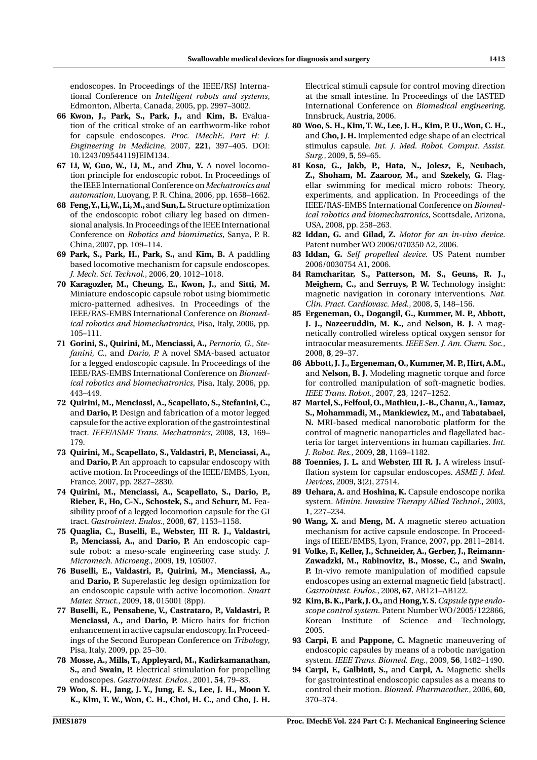endoscopes. In Proceedings of the IEEE/RSJ International Conference on *Intelligent robots and systems*, Edmonton, Alberta, Canada, 2005, pp. 2997–3002.

- **66 Kwon, J., Park, S., Park, J.,** and **Kim, B.** Evaluation of the critical stroke of an earthworm-like robot for capsule endoscopes. *Proc. IMechE, Part H: J. Engineering in Medicine*, 2007, **221**, 397–405. DOI: 10.1243/09544119JEIM134.
- **67 Li, W, Guo, W., Li, M.,** and **Zhu, Y.** A novel locomotion principle for endoscopic robot. In Proceedings of the IEEE International Conference on*Mechatronics and automation*, Luoyang, P. R. China, 2006, pp. 1658–1662.
- **68 Feng,Y.,Li,W.,Li,M.,**and**Sun,L.** Structure optimization of the endoscopic robot ciliary leg based on dimensional analysis. In Proceedings of the IEEE International Conference on *Robotics and biomimetics*, Sanya, P. R. China, 2007, pp. 109–114.
- **69 Park, S., Park, H., Park, S.,** and **Kim, B.** A paddling based locomotive mechanism for capsule endoscopes. *J. Mech. Sci. Technol.*, 2006, **20**, 1012–1018.
- **70 Karagozler, M., Cheung, E., Kwon, J.,** and **Sitti, M.** Miniature endoscopic capsule robot using biomimetic micro-patterned adhesives. In Proceedings of the IEEE/RAS-EMBS International Conference on *Biomedical robotics and biomechatronics*, Pisa, Italy, 2006, pp. 105–111.
- **71 Gorini, S., Quirini, M., Menciassi, A.,** *Pernorio, G., Stefanini, C.,* and *Dario, P.* A novel SMA-based actuator for a legged endoscopic capsule. In Proceedings of the IEEE/RAS-EMBS International Conference on *Biomedical robotics and biomechatronics*, Pisa, Italy, 2006, pp. 443–449.
- **72 Quirini, M., Menciassi, A., Scapellato, S., Stefanini, C.,** and **Dario, P.** Design and fabrication of a motor legged capsule for the active exploration of the gastrointestinal tract. *IEEE/ASME Trans. Mechatronics*, 2008, **13**, 169– 179.
- **73 Quirini, M., Scapellato, S., Valdastri, P., Menciassi, A.,** and **Dario, P.** An approach to capsular endoscopy with active motion. In Proceedings of the IEEE/EMBS, Lyon, France, 2007, pp. 2827–2830.
- **74 Quirini, M., Menciassi, A., Scapellato, S., Dario, P., Rieber, F., Ho, C-N., Schostek, S.,** and **Schurr, M.** Feasibility proof of a legged locomotion capsule for the GI tract. *Gastrointest. Endos.*, 2008, **67**, 1153–1158.
- **75 Quaglia, C., Buselli, E., Webster, III R. J., Valdastri, P., Menciassi, A.,** and **Dario, P.** An endoscopic capsule robot: a meso-scale engineering case study. *J. Micromech. Microeng.*, 2009, **19**, 105007.
- **76 Buselli, E., Valdastri, P., Quirini, M., Menciassi, A.,** and **Dario, P.** Superelastic leg design optimization for an endoscopic capsule with active locomotion. *Smart Mater. Struct.*, 2009, **18**, 015001 (8pp).
- **77 Buselli, E., Pensabene, V., Castrataro, P., Valdastri, P. Menciassi, A.,** and **Dario, P.** Micro hairs for friction enhancement in active capsular endoscopy. In Proceedings of the Second European Conference on *Tribology*, Pisa, Italy, 2009, pp. 25–30.
- **78 Mosse, A., Mills, T., Appleyard, M., Kadirkamanathan, S.,** and **Swain, P.** Electrical stimulation for propelling endoscopes. *Gastrointest. Endos.*, 2001, **54**, 79–83.
- **79 Woo, S. H., Jang, J. Y., Jung, E. S., Lee, J. H., Moon Y. K., Kim, T. W., Won, C. H., Choi, H. C.,** and **Cho, J. H.**

Electrical stimuli capsule for control moving direction at the small intestine. In Proceedings of the IASTED International Conference on *Biomedical engineering*, Innsbruck, Austria, 2006.

- **80 Woo, S. H., Kim, T. W., Lee, J. H., Kim, P. U.,Won, C. H.,** and **Cho, J. H.** Implemented edge shape of an electrical stimulus capsule. *Int. J. Med. Robot. Comput. Assist. Surg.*, 2009, **5**, 59–65.
- **81 Kosa, G., Jakb, P., Hata, N., Jolesz, F., Neubach, Z., Shoham, M. Zaaroor, M.,** and **Szekely, G.** Flagellar swimming for medical micro robots: Theory, experiments, and application. In Proceedings of the IEEE/RAS-EMBS International Conference on *Biomedical robotics and biomechatronics*, Scottsdale, Arizona, USA, 2008, pp. 258–263.
- **82 Iddan, G.** and **Gilad, Z.** *Motor for an in-vivo device*. Patent number WO 2006/070350 A2, 2006.
- **83 Iddan, G.** *Self propelled device*. US Patent number 2006/0030754 A1, 2006.
- **84 Ramcharitar, S., Patterson, M. S., Geuns, R. J., Meighem, C.,** and **Serruys, P. W.** Technology insight: magnetic navigation in coronary interventions. *Nat. Clin. Pract. Cardiovasc. Med.*, 2008, **5**, 148–156.
- **85 Ergeneman, O., Dogangil, G., Kummer, M. P., Abbott, J. J., Nazeeruddin, M. K.,** and **Nelson, B. J.** A magnetically controlled wireless optical oxygen sensor for intraocular measurements. *IEEE Sen. J. Am. Chem. Soc.*, 2008, **8**, 29–37.
- **86 Abbott, J. J., Ergeneman, O., Kummer, M. P., Hirt, A.M.,** and **Nelson, B. J.** Modeling magnetic torque and force for controlled manipulation of soft-magnetic bodies. *IEEE Trans. Robot.*, 2007, **23**, 1247–1252.
- **87 Martel, S., Felfoul, O.,Mathieu, J.-B.,Chanu, A.,Tamaz, S., Mohammadi, M., Mankiewicz, M.,** and **Tabatabaei, N.** MRI-based medical nanorobotic platform for the control of magnetic nanoparticles and flagellated bacteria for target interventions in human capillaries. *Int. J. Robot. Res.*, 2009, **28**, 1169–1182.
- **88 Toennies, J. L.** and **Webster, III R. J.** A wireless insufflation system for capsular endoscopes. *ASME J. Med. Devices*, 2009, **3**(2), 27514.
- **89 Uehara, A.** and **Hoshina, K.** Capsule endoscope norika system. *Minim. Invasive Therapy Allied Technol.*, 2003, **1**, 227–234.
- **90 Wang, X.** and **Meng, M.** A magnetic stereo actuation mechanism for active capsule endoscope. In Proceedings of IEEE/EMBS, Lyon, France, 2007, pp. 2811–2814.
- **91 Volke, F., Keller, J., Schneider, A., Gerber, J., Reimann-Zawadzki, M., Rabinovitz, B., Mosse, C.,** and **Swain, P.** In-vivo remote manipulation of modified capsule endoscopes using an external magnetic field [abstract]. *Gastrointest. Endos.*, 2008, **67**, AB121–AB122.
- **92 Kim,B. K.,Park, J. O.,**and **Hong,Y. S.***Capsule type endoscope control system*. Patent Number WO/2005/122866, Korean Institute of Science and Technology, 2005.
- **93 Carpi, F.** and **Pappone, C.** Magnetic maneuvering of endoscopic capsules by means of a robotic navigation system. *IEEE Trans. Biomed. Eng.*, 2009, **56**, 1482–1490.
- **94 Carpi, F., Galbiati, S.,** and **Carpi, A.** Magnetic shells for gastrointestinal endoscopic capsules as a means to control their motion. *Biomed. Pharmacother.*, 2006, **60**, 370–374.